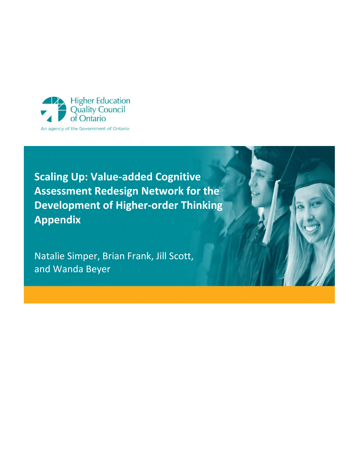

Natalie Simper, Brian Frank, Jill Scott, and Wanda Beyer

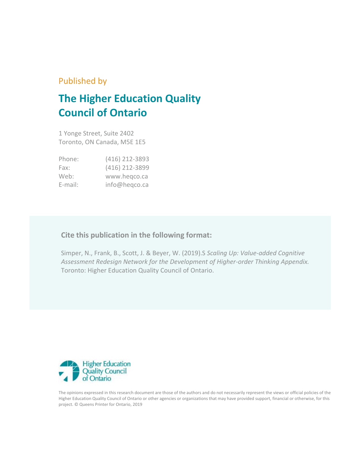### Published by

# **The Higher Education Quality Council of Ontario**

1 Yonge Street, Suite 2402 Toronto, ON Canada, M5E 1E5

| Phone:     | (416) 212-3893 |
|------------|----------------|
| Fax:       | (416) 212-3899 |
| Web:       | www.hegco.ca   |
| $E$ -mail: | info@heqco.ca  |

### **Cite this publication in the following format:**

Simper, N., Frank, B., Scott, J. & Beyer, W. (2019).S *Scaling Up: Value-added Cognitive Assessment Redesign Network for the Development of Higher-order Thinking Appendix.* Toronto: Higher Education Quality Council of Ontario.



The opinions expressed in this research document are those of the authors and do not necessarily represent the views or official policies of the Higher Education Quality Council of Ontario or other agencies or organizations that may have provided support, financial or otherwise, for this project. © Queens Printer for Ontario, 2019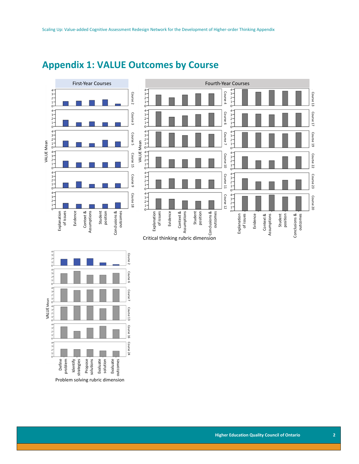

## **Appendix 1: VALUE Outcomes by Course**

Define<br>problem

Identify<br>strategies<br>-

Propose solutions Evaluate

Problem solving rubric dimension

solution Evaluate outcomes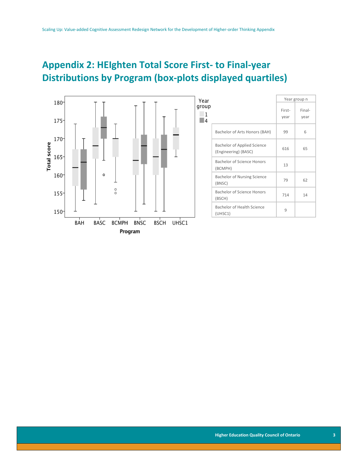# **Appendix 2: HEIghten Total Score First- to Final-year Distributions by Program (box-plots displayed quartiles)**



| ar                         |                                                            |                | Year group n   |
|----------------------------|------------------------------------------------------------|----------------|----------------|
| ١uр<br>1<br>$\overline{4}$ |                                                            | First-<br>year | Final-<br>year |
|                            | Bachelor of Arts Honors (BAH)                              | 99             | 6              |
|                            | <b>Bachelor of Applied Science</b><br>(Engineering) (BASC) | 616            | 65             |
|                            | <b>Bachelor of Science Honors</b><br>(BCMPH)               | 13             |                |
|                            | <b>Bachelor of Nursing Science</b><br>(BNSC)               | 79             | 62             |
|                            | <b>Bachelor of Science Honors</b><br>(BSCH)                | 714            | 14             |
|                            | Bachelor of Health Science<br>(UHSC1)                      | 9              |                |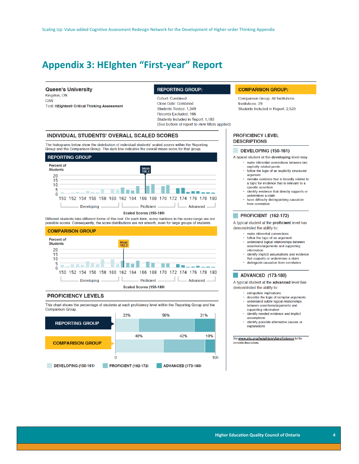## **Appendix 3: HEIghten "First-year" Report**

#### **Queen's University**

Kingston, ON CAN Test: HElghten® Critical Thinking Assessment

#### **REPORTING GROUP:**

Cohort: Combined Close Date: Combined Students Tested: 1,349 Records Excluded: 166 Students Included in Report: 1,183 (See bottom of report to view filters applied)

#### **INDIVIDUAL STUDENTS' OVERALL SCALED SCORES**

The histograms below show the distribution of individual students' scaled scores within the Reporting Group and the Comparison Group. The dark line indicates the overall mean score for that group.



Different students take different forms of this test. On each form, some numbers in the score range are not possible scores. Consequently, the score distributions are not smooth, even for large groups of students.



#### **PROFICIENCY LEVELS**

This chart shows the percentage of students at each proficiency level within the Reporting Group and the **Comparison Group.** 



#### **COMPARISON GROUP:**

Comparison Group: All Institutions Institutions: 29 Students Included in Report: 2,520

#### **PROFICIENCY LEVEL DESCRIPTIONS**

#### DEVELOPING (150-161)

A typical student at the developing level may:

- · make inferential connections between two explicitly related points follow the logic of an explicitly structured
	- argument
	- · mistake evidence that is broadly related to a topic for evidence that is relevant to a specific assertion
	- identify evidence that directly supports or undermines a claim
- have difficulty distinguishing causation from correlation

#### PROFICIENT (162-172)

A typical student at the proficient level has demonstrated the ability to:

- make inferential connections
- follow the logic of an argument understand logical relationships between assertions/arguments and supporting
- information identify implicit assumptions and evidence
- that supports or undermines a claim · distinguish causation from correlation

#### **ADVANCED (173-180)**

A typical student at the advanced level has demonstrated the ability to:

- · extrapolate implications
- · describe the logic of complex arguments · understand subtle logical relationships between assertions/arouments and
- supporting information · identify needed evidence and implicit assumptions
- identify possible alternative causes or explanations

See www.ets.org/heighten/ctproficiency for the ete descriptions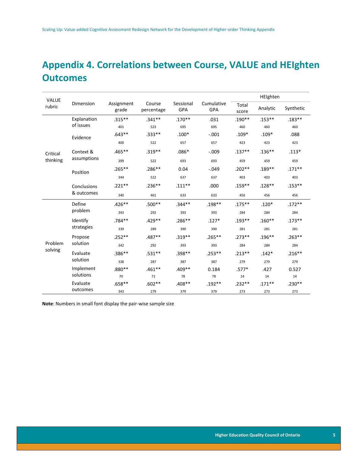# **Appendix 4. Correlations between Course, VALUE and HEIghten Outcomes**

| <b>VALUE</b> |                           |                     |                      |                  | HEIghten          |                |           |           |
|--------------|---------------------------|---------------------|----------------------|------------------|-------------------|----------------|-----------|-----------|
| rubric       | Dimension                 | Assignment<br>grade | Course<br>percentage | Sessional<br>GPA | Cumulative<br>GPA | Total<br>score | Analytic  | Synthetic |
|              | Explanation               | $.315***$           | $.341**$             | $.170**$         | .031              | $.190**$       | $.153***$ | $.183**$  |
|              | of issues                 | 401                 | 523                  | 695              | 695               | 460            | 460       | 460       |
|              | Evidence                  | $.643**$            | $.333***$            | $.100*$          | $-.001$           | $.109*$        | $.109*$   | .088      |
|              |                           | 400                 | 522                  | 657              | 657               | 423            | 423       | 423       |
| Critical     | Context &                 | $.465**$            | $.319**$             | $.086*$          | $-.009$           | $.137***$      | $.136***$ | $.113*$   |
| thinking     | assumptions               | 399                 | 522                  | 693              | 693               | 459            | 459       | 459       |
|              | Position                  | $.265***$           | $.286**$             | 0.04             | $-.049$           | $.202**$       | $.189**$  | $.171***$ |
|              |                           | 344                 | 522                  | 637              | 637               | 403            | 403       | 403       |
|              | Conclusions<br>& outcomes | $.221**$            | $.236**$             | $.111**$         | .000              | $.159**$       | $.128**$  | $.153***$ |
|              |                           | 340                 | 461                  | 633              | 633               | 456            | 456       | 456       |
|              | Define                    | $.426**$            | $.500**$             | $.344**$         | $.198**$          | $.175***$      | $.120*$   | $.172**$  |
|              | problem                   | 343                 | 292                  | 393              | 393               | 284            | 284       | 284       |
|              | Identify<br>strategies    | .784**              | $.429**$             | $.286**$         | $.127*$           | $.193**$       | $.160**$  | $.173**$  |
|              |                           | 339                 | 289                  | 390              | 390               | 281            | 281       | 281       |
|              | Propose                   | $.252**$            | .487**               | $.319**$         | $.265***$         | $.273**$       | $.196***$ | $.263***$ |
| Problem      | solution                  | 342                 | 292                  | 393              | 393               | 284            | 284       | 284       |
| solving      | Evaluate                  | $.386**$            | $.531**$             | $.398**$         | $.253**$          | $.213**$       | $.142*$   | $.216***$ |
|              | solution                  | 338                 | 287                  | 387              | 387               | 279            | 279       | 279       |
|              | Implement<br>solutions    | .880**              | $.461**$             | $.409**$         | 0.184             | $.577*$        | .427      | 0.527     |
|              |                           | 70                  | 71                   | 78               | 78                | 14             | 14        | 14        |
|              | Evaluate                  | $.658**$            | $.602**$             | .408**           | $.192**$          | $.232**$       | $.171***$ | $.230**$  |
|              | outcomes                  | 343                 | 279                  | 379              | 379               | 273            | 273       | 273       |

**Note**: Numbers in small font display the pair-wise sample size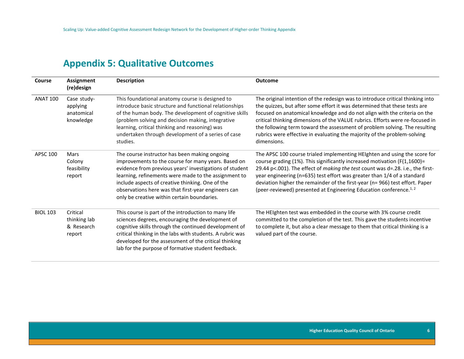## **Appendix 5: Qualitative Outcomes**

| Course          | <b>Assignment</b><br>(re)design                    | <b>Description</b>                                                                                                                                                                                                                                                                                                                                                                | <b>Outcome</b>                                                                                                                                                                                                                                                                                                                                                                                                                                                                                     |
|-----------------|----------------------------------------------------|-----------------------------------------------------------------------------------------------------------------------------------------------------------------------------------------------------------------------------------------------------------------------------------------------------------------------------------------------------------------------------------|----------------------------------------------------------------------------------------------------------------------------------------------------------------------------------------------------------------------------------------------------------------------------------------------------------------------------------------------------------------------------------------------------------------------------------------------------------------------------------------------------|
| <b>ANAT 100</b> | Case study-<br>applying<br>anatomical<br>knowledge | This foundational anatomy course is designed to<br>introduce basic structure and functional relationships<br>of the human body. The development of cognitive skills<br>(problem solving and decision making, integrative<br>learning, critical thinking and reasoning) was<br>undertaken through development of a series of case<br>studies.                                      | The original intention of the redesign was to introduce critical thinking into<br>the quizzes, but after some effort it was determined that these tests are<br>focused on anatomical knowledge and do not align with the criteria on the<br>critical thinking dimensions of the VALUE rubrics. Efforts were re-focused in<br>the following term toward the assessment of problem solving. The resulting<br>rubrics were effective in evaluating the majority of the problem-solving<br>dimensions. |
| <b>APSC 100</b> | Mars<br>Colony<br>feasibility<br>report            | The course instructor has been making ongoing<br>improvements to the course for many years. Based on<br>evidence from previous years' investigations of student<br>learning, refinements were made to the assignment to<br>include aspects of creative thinking. One of the<br>observations here was that first-year engineers can<br>only be creative within certain boundaries. | The APSC 100 course trialed implementing HEIghten and using the score for<br>course grading (1%). This significantly increased motivation (F(1,1600)=<br>29.44 p<.001). The effect of making the test count was d=.28. i.e., the first-<br>year engineering (n=635) test effort was greater than 1/4 of a standard<br>deviation higher the remainder of the first-year (n= 966) test effort. Paper<br>(peer-reviewed) presented at Engineering Education conference. <sup>1, 2</sup>               |
| <b>BIOL 103</b> | Critical<br>thinking lab<br>& Research<br>report   | This course is part of the introduction to many life<br>sciences degrees, encouraging the development of<br>cognitive skills through the continued development of<br>critical thinking in the labs with students. A rubric was<br>developed for the assessment of the critical thinking<br>lab for the purpose of formative student feedback.                                     | The HEIghten test was embedded in the course with 3% course credit<br>committed to the completion of the test. This gave the students incentive<br>to complete it, but also a clear message to them that critical thinking is a<br>valued part of the course.                                                                                                                                                                                                                                      |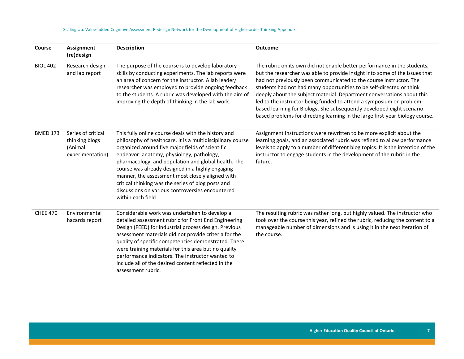| Course          | Assignment<br>(re)design                                            | <b>Description</b>                                                                                                                                                                                                                                                                                                                                                                                                                                                                                                | <b>Outcome</b>                                                                                                                                                                                                                                                                                                                                                                                                                                                                                                                                                                                                     |
|-----------------|---------------------------------------------------------------------|-------------------------------------------------------------------------------------------------------------------------------------------------------------------------------------------------------------------------------------------------------------------------------------------------------------------------------------------------------------------------------------------------------------------------------------------------------------------------------------------------------------------|--------------------------------------------------------------------------------------------------------------------------------------------------------------------------------------------------------------------------------------------------------------------------------------------------------------------------------------------------------------------------------------------------------------------------------------------------------------------------------------------------------------------------------------------------------------------------------------------------------------------|
| <b>BIOL 402</b> | Research design<br>and lab report                                   | The purpose of the course is to develop laboratory<br>skills by conducting experiments. The lab reports were<br>an area of concern for the instructor. A lab leader/<br>researcher was employed to provide ongoing feedback<br>to the students. A rubric was developed with the aim of<br>improving the depth of thinking in the lab work.                                                                                                                                                                        | The rubric on its own did not enable better performance in the students,<br>but the researcher was able to provide insight into some of the issues that<br>had not previously been communicated to the course instructor. The<br>students had not had many opportunities to be self-directed or think<br>deeply about the subject material. Department conversations about this<br>led to the instructor being funded to attend a symposium on problem-<br>based learning for Biology. She subsequently developed eight scenario-<br>based problems for directing learning in the large first-year biology course. |
| <b>BMED 173</b> | Series of critical<br>thinking blogs<br>(Animal<br>experimentation) | This fully online course deals with the history and<br>philosophy of healthcare. It is a multidisciplinary course<br>organized around five major fields of scientific<br>endeavor: anatomy, physiology, pathology,<br>pharmacology, and population and global health. The<br>course was already designed in a highly engaging<br>manner, the assessment most closely aligned with<br>critical thinking was the series of blog posts and<br>discussions on various controversies encountered<br>within each field. | Assignment Instructions were rewritten to be more explicit about the<br>learning goals, and an associated rubric was refined to allow performance<br>levels to apply to a number of different blog topics. It is the intention of the<br>instructor to engage students in the development of the rubric in the<br>future.                                                                                                                                                                                                                                                                                          |
| <b>CHEE 470</b> | Environmental<br>hazards report                                     | Considerable work was undertaken to develop a<br>detailed assessment rubric for Front End Engineering<br>Design (FEED) for industrial process design. Previous<br>assessment materials did not provide criteria for the<br>quality of specific competencies demonstrated. There<br>were training materials for this area but no quality<br>performance indicators. The instructor wanted to<br>include all of the desired content reflected in the<br>assessment rubric.                                          | The resulting rubric was rather long, but highly valued. The instructor who<br>took over the course this year, refined the rubric, reducing the content to a<br>manageable number of dimensions and is using it in the next iteration of<br>the course.                                                                                                                                                                                                                                                                                                                                                            |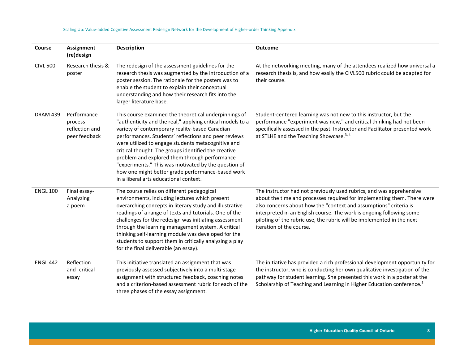| Course          | Assignment<br>(re)design                                  | <b>Description</b>                                                                                                                                                                                                                                                                                                                                                                                                                                                                                                                                  | <b>Outcome</b>                                                                                                                                                                                                                                                                                                                                                                                     |
|-----------------|-----------------------------------------------------------|-----------------------------------------------------------------------------------------------------------------------------------------------------------------------------------------------------------------------------------------------------------------------------------------------------------------------------------------------------------------------------------------------------------------------------------------------------------------------------------------------------------------------------------------------------|----------------------------------------------------------------------------------------------------------------------------------------------------------------------------------------------------------------------------------------------------------------------------------------------------------------------------------------------------------------------------------------------------|
| <b>CIVL 500</b> | Research thesis &<br>poster                               | The redesign of the assessment guidelines for the<br>research thesis was augmented by the introduction of a<br>poster session. The rationale for the posters was to<br>enable the student to explain their conceptual<br>understanding and how their research fits into the<br>larger literature base.                                                                                                                                                                                                                                              | At the networking meeting, many of the attendees realized how universal a<br>research thesis is, and how easily the CIVL500 rubric could be adapted for<br>their course.                                                                                                                                                                                                                           |
| <b>DRAM 439</b> | Performance<br>process<br>reflection and<br>peer feedback | This course examined the theoretical underpinnings of<br>"authenticity and the real," applying critical models to a<br>variety of contemporary reality-based Canadian<br>performances. Students' reflections and peer reviews<br>were utilized to engage students metacognitive and<br>critical thought. The groups identified the creative<br>problem and explored them through performance<br>"experiments." This was motivated by the question of<br>how one might better grade performance-based work<br>in a liberal arts educational context. | Student-centered learning was not new to this instructor, but the<br>performance "experiment was new," and critical thinking had not been<br>specifically assessed in the past. Instructor and Facilitator presented work<br>at STLHE and the Teaching Showcase. <sup>3, 4</sup>                                                                                                                   |
| <b>ENGL 100</b> | Final essay-<br>Analyzing<br>a poem                       | The course relies on different pedagogical<br>environments, including lectures which present<br>overarching concepts in literary study and illustrative<br>readings of a range of texts and tutorials. One of the<br>challenges for the redesign was initiating assessment<br>through the learning management system. A critical<br>thinking self-learning module was developed for the<br>students to support them in critically analyzing a play<br>for the final deliverable (an essay).                                                         | The instructor had not previously used rubrics, and was apprehensive<br>about the time and processes required for implementing them. There were<br>also concerns about how the "context and assumptions" criteria is<br>interpreted in an English course. The work is ongoing following some<br>piloting of the rubric use, the rubric will be implemented in the next<br>iteration of the course. |
| <b>ENGL 442</b> | Reflection<br>and critical<br>essay                       | This initiative translated an assignment that was<br>previously assessed subjectively into a multi-stage<br>assignment with structured feedback, coaching notes<br>and a criterion-based assessment rubric for each of the<br>three phases of the essay assignment.                                                                                                                                                                                                                                                                                 | The initiative has provided a rich professional development opportunity for<br>the instructor, who is conducting her own qualitative investigation of the<br>pathway for student learning. She presented this work in a poster at the<br>Scholarship of Teaching and Learning in Higher Education conference. <sup>5</sup>                                                                         |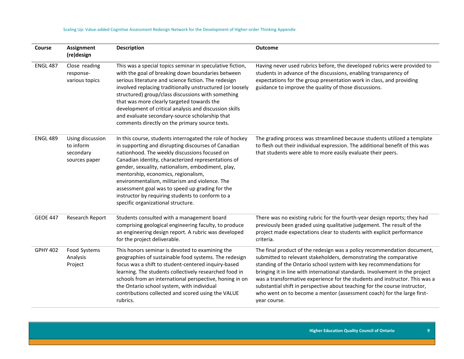| Course          | <b>Assignment</b><br>(re)design                             | <b>Description</b>                                                                                                                                                                                                                                                                                                                                                                                                                                                                                                 | <b>Outcome</b>                                                                                                                                                                                                                                                                                                                                                                                                                                                                                                                                            |
|-----------------|-------------------------------------------------------------|--------------------------------------------------------------------------------------------------------------------------------------------------------------------------------------------------------------------------------------------------------------------------------------------------------------------------------------------------------------------------------------------------------------------------------------------------------------------------------------------------------------------|-----------------------------------------------------------------------------------------------------------------------------------------------------------------------------------------------------------------------------------------------------------------------------------------------------------------------------------------------------------------------------------------------------------------------------------------------------------------------------------------------------------------------------------------------------------|
| <b>ENGL 487</b> | Close reading<br>response-<br>various topics                | This was a special topics seminar in speculative fiction,<br>with the goal of breaking down boundaries between<br>serious literature and science fiction. The redesign<br>involved replacing traditionally unstructured (or loosely<br>structured) group/class discussions with something<br>that was more clearly targeted towards the<br>development of critical analysis and discussion skills<br>and evaluate secondary-source scholarship that<br>comments directly on the primary source texts.              | Having never used rubrics before, the developed rubrics were provided to<br>students in advance of the discussions, enabling transparency of<br>expectations for the group presentation work in class, and providing<br>guidance to improve the quality of those discussions.                                                                                                                                                                                                                                                                             |
| <b>ENGL 489</b> | Using discussion<br>to inform<br>secondary<br>sources paper | In this course, students interrogated the role of hockey<br>in supporting and disrupting discourses of Canadian<br>nationhood. The weekly discussions focused on<br>Canadian identity, characterized representations of<br>gender, sexuality, nationalism, embodiment, play,<br>mentorship, economics, regionalism,<br>environmentalism, militarism and violence. The<br>assessment goal was to speed up grading for the<br>instructor by requiring students to conform to a<br>specific organizational structure. | The grading process was streamlined because students utilized a template<br>to flesh out their individual expression. The additional benefit of this was<br>that students were able to more easily evaluate their peers.                                                                                                                                                                                                                                                                                                                                  |
| <b>GEOE 447</b> | Research Report                                             | Students consulted with a management board<br>comprising geological engineering faculty, to produce<br>an engineering design report. A rubric was developed<br>for the project deliverable.                                                                                                                                                                                                                                                                                                                        | There was no existing rubric for the fourth-year design reports; they had<br>previously been graded using qualitative judgement. The result of the<br>project made expectations clear to students with explicit performance<br>criteria.                                                                                                                                                                                                                                                                                                                  |
| <b>GPHY 402</b> | Food Systems<br>Analysis<br>Project                         | This honors seminar is devoted to examining the<br>geographies of sustainable food systems. The redesign<br>focus was a shift to student-centered inquiry-based<br>learning. The students collectively researched food in<br>schools from an international perspective, honing in on<br>the Ontario school system, with individual<br>contributions collected and scored using the VALUE<br>rubrics.                                                                                                               | The final product of the redesign was a policy recommendation document,<br>submitted to relevant stakeholders, demonstrating the comparative<br>standing of the Ontario school system with key recommendations for<br>bringing it in line with international standards. Involvement in the project<br>was a transformative experience for the students and instructor. This was a<br>substantial shift in perspective about teaching for the course instructor,<br>who went on to become a mentor (assessment coach) for the large first-<br>year course. |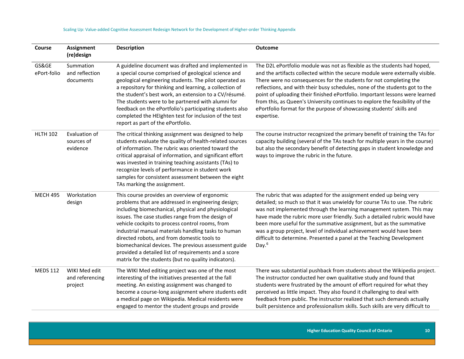| Course               | <b>Assignment</b><br>(re)design             | <b>Description</b>                                                                                                                                                                                                                                                                                                                                                                                                                                                                                                                               | <b>Outcome</b>                                                                                                                                                                                                                                                                                                                                                                                                                                                                                                                                                       |
|----------------------|---------------------------------------------|--------------------------------------------------------------------------------------------------------------------------------------------------------------------------------------------------------------------------------------------------------------------------------------------------------------------------------------------------------------------------------------------------------------------------------------------------------------------------------------------------------------------------------------------------|----------------------------------------------------------------------------------------------------------------------------------------------------------------------------------------------------------------------------------------------------------------------------------------------------------------------------------------------------------------------------------------------------------------------------------------------------------------------------------------------------------------------------------------------------------------------|
| GS&GE<br>ePort-folio | Summation<br>and reflection<br>documents    | A guideline document was drafted and implemented in<br>a special course comprised of geological science and<br>geological engineering students. The pilot operated as<br>a repository for thinking and learning, a collection of<br>the student's best work, an extension to a CV/résumé.<br>The students were to be partnered with alumni for<br>feedback on the ePortfolio's participating students also<br>completed the HEIghten test for inclusion of the test<br>report as part of the ePortfolio.                                         | The D2L ePortfolio module was not as flexible as the students had hoped,<br>and the artifacts collected within the secure module were externally visible.<br>There were no consequences for the students for not completing the<br>reflections, and with their busy schedules, none of the students got to the<br>point of uploading their finished ePortfolio. Important lessons were learned<br>from this, as Queen's University continues to explore the feasibility of the<br>ePortfolio format for the purpose of showcasing students' skills and<br>expertise. |
| <b>HLTH 102</b>      | Evaluation of<br>sources of<br>evidence     | The critical thinking assignment was designed to help<br>students evaluate the quality of health-related sources<br>of information. The rubric was oriented toward the<br>critical appraisal of information, and significant effort<br>was invested in training teaching assistants (TAs) to<br>recognize levels of performance in student work<br>samples for consistent assessment between the eight<br>TAs marking the assignment.                                                                                                            | The course instructor recognized the primary benefit of training the TAs for<br>capacity building (several of the TAs teach for multiple years in the course)<br>but also the secondary benefit of detecting gaps in student knowledge and<br>ways to improve the rubric in the future.                                                                                                                                                                                                                                                                              |
| <b>MECH 495</b>      | Workstation<br>design                       | This course provides an overview of ergonomic<br>problems that are addressed in engineering design;<br>including biomechanical, physical and physiological<br>issues. The case studies range from the design of<br>vehicle cockpits to process control rooms, from<br>industrial manual materials handling tasks to human<br>directed robots, and from domestic tools to<br>biomechanical devices. The previous assessment guide<br>provided a detailed list of requirements and a score<br>matrix for the students (but no quality indicators). | The rubric that was adapted for the assignment ended up being very<br>detailed; so much so that it was unwieldy for course TAs to use. The rubric<br>was not implemented through the learning management system. This may<br>have made the rubric more user friendly. Such a detailed rubric would have<br>been more useful for the summative assignment, but as the summative<br>was a group project, level of individual achievement would have been<br>difficult to determine. Presented a panel at the Teaching Development<br>Day. $6$                          |
| <b>MEDS 112</b>      | WIKI Med edit<br>and referencing<br>project | The WIKI Med editing project was one of the most<br>interesting of the initiatives presented at the fall<br>meeting. An existing assignment was changed to<br>become a course-long assignment where students edit<br>a medical page on Wikipedia. Medical residents were<br>engaged to mentor the student groups and provide                                                                                                                                                                                                                     | There was substantial pushback from students about the Wikipedia project.<br>The instructor conducted her own qualitative study and found that<br>students were frustrated by the amount of effort required for what they<br>perceived as little impact. They also found it challenging to deal with<br>feedback from public. The instructor realized that such demands actually<br>built persistence and professionalism skills. Such skills are very difficult to                                                                                                  |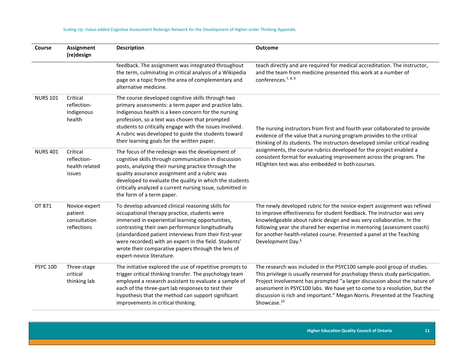| Course          | Assignment<br>(re)design                                | <b>Description</b>                                                                                                                                                                                                                                                                                                                                                                                              | <b>Outcome</b>                                                                                                                                                                                                                                                                                                                                                                                                            |
|-----------------|---------------------------------------------------------|-----------------------------------------------------------------------------------------------------------------------------------------------------------------------------------------------------------------------------------------------------------------------------------------------------------------------------------------------------------------------------------------------------------------|---------------------------------------------------------------------------------------------------------------------------------------------------------------------------------------------------------------------------------------------------------------------------------------------------------------------------------------------------------------------------------------------------------------------------|
|                 |                                                         | feedback. The assignment was integrated throughout<br>the term, culminating in critical analysis of a Wikipedia<br>page on a topic from the area of complementary and<br>alternative medicine.                                                                                                                                                                                                                  | teach directly and are required for medical accreditation. The instructor,<br>and the team from medicine presented this work at a number of<br>conferences. <sup>7, 8, 9</sup>                                                                                                                                                                                                                                            |
| <b>NURS 101</b> | Critical<br>reflection-<br>Indigenous<br>health         | The course developed cognitive skills through two<br>primary assessments: a term paper and practice labs.<br>Indigenous health is a keen concern for the nursing<br>profession, so a text was chosen that prompted<br>students to critically engage with the issues involved.<br>A rubric was developed to guide the students toward<br>their learning goals for the written paper.                             | The nursing instructors from first and fourth year collaborated to provide<br>evidence of the value that a nursing program provides to the critical<br>thinking of its students. The instructors developed similar critical reading                                                                                                                                                                                       |
| <b>NURS 401</b> | Critical<br>reflection-<br>health related<br>issues     | The focus of the redesign was the development of<br>cognitive skills through communication in discussion<br>posts, analyzing their nursing practice through the<br>quality assurance assignment and a rubric was<br>developed to evaluate the quality in which the students<br>critically analyzed a current nursing issue, submitted in<br>the form of a term paper.                                           | assignments, the course rubrics developed for the project enabled a<br>consistent format for evaluating improvement across the program. The<br>HEIghten test was also embedded in both courses.                                                                                                                                                                                                                           |
| OT 871          | Novice-expert<br>patient<br>consultation<br>reflections | To develop advanced clinical reasoning skills for<br>occupational therapy practice, students were<br>immersed in experiential learning opportunities,<br>contrasting their own performance longitudinally<br>(standardized patient interviews from their first-year<br>were recorded) with an expert in the field. Students'<br>wrote their comparative papers through the lens of<br>expert-novice literature. | The newly developed rubric for the novice-expert assignment was refined<br>to improve effectiveness for student feedback. The instructor was very<br>knowledgeable about rubric design and was very collaborative. In the<br>following year she shared her expertise in mentoring (assessment coach)<br>for another health-related course. Presented a panel at the Teaching<br>Development Day. <sup>6</sup>             |
| <b>PSYC 100</b> | Three-stage<br>critical<br>thinking lab                 | The initiative explored the use of repetitive prompts to<br>trigger critical thinking transfer. The psychology team<br>employed a research assistant to evaluate a sample of<br>each of the three-part lab responses to test their<br>hypothesis that the method can support significant<br>improvements in critical thinking.                                                                                  | The research was included in the PSYC100 sample-pool group of studies.<br>This privilege is usually reserved for psychology thesis study participation.<br>Project involvement has prompted "a larger discussion about the nature of<br>assessment in PSYC100 labs. We have yet to come to a resolution, but the<br>discussion is rich and important." Megan Norris. Presented at the Teaching<br>Showcase. <sup>10</sup> |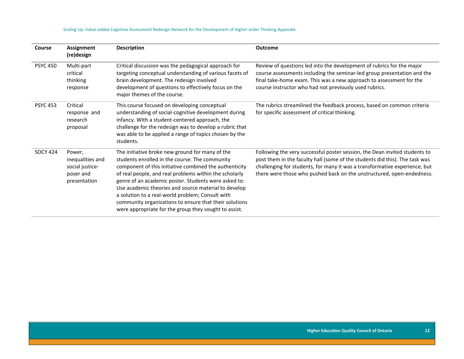| Course          | <b>Assignment</b><br>(re)design                                            | <b>Description</b>                                                                                                                                                                                                                                                                                                                                                                                                                                                                                           | <b>Outcome</b>                                                                                                                                                                                                                                                                                                   |
|-----------------|----------------------------------------------------------------------------|--------------------------------------------------------------------------------------------------------------------------------------------------------------------------------------------------------------------------------------------------------------------------------------------------------------------------------------------------------------------------------------------------------------------------------------------------------------------------------------------------------------|------------------------------------------------------------------------------------------------------------------------------------------------------------------------------------------------------------------------------------------------------------------------------------------------------------------|
| <b>PSYC 450</b> | Multi-part<br>critical<br>thinking<br>response                             | Critical discussion was the pedagogical approach for<br>targeting conceptual understanding of various facets of<br>brain development. The redesign involved<br>development of questions to effectively focus on the<br>major themes of the course.                                                                                                                                                                                                                                                           | Review of questions led into the development of rubrics for the major<br>course assessments including the seminar-led group presentation and the<br>final take-home exam. This was a new approach to assessment for the<br>course instructor who had not previously used rubrics.                                |
| <b>PSYC 453</b> | Critical<br>response and<br>research<br>proposal                           | This course focused on developing conceptual<br>understanding of social-cognitive development during<br>infancy. With a student-centered approach, the<br>challenge for the redesign was to develop a rubric that<br>was able to be applied a range of topics chosen by the<br>students.                                                                                                                                                                                                                     | The rubrics streamlined the feedback process, based on common criteria<br>for specific assessment of critical thinking.                                                                                                                                                                                          |
| <b>SOCY 424</b> | Power,<br>inequalities and<br>social justice-<br>poser and<br>presentation | The initiative broke new ground for many of the<br>students enrolled in the course. The community<br>component of this initiative combined the authenticity<br>of real people, and real problems within the scholarly<br>genre of an academic poster. Students were asked to:<br>Use academic theories and source material to develop<br>a solution to a real-world problem; Consult with<br>community organizations to ensure that their solutions<br>were appropriate for the group they sought to assist. | Following the very successful poster session, the Dean invited students to<br>post them in the faculty hall (some of the students did this). The task was<br>challenging for students, for many it was a transformative experience, but<br>there were those who pushed back on the unstructured, open-endedness. |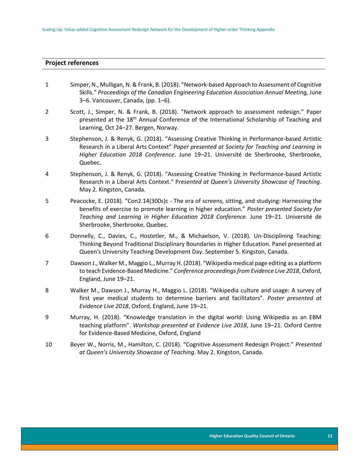#### **Project references**

| $\mathbf{1}$ | Simper, N., Mulligan, N. & Frank, B. (2018). "Network-based Approach to Assessment of Cognitive |
|--------------|-------------------------------------------------------------------------------------------------|
|              | Skills." Proceedings of the Canadian Engineering Education Association Annual Meeting, June     |
|              | 3–6. Vancouver, Canada, (pp. 1–6).                                                              |

- 2 Scott, J., Simper, N. & Frank, B. (2018). "Network approach to assessment redesign." Paper presented at the 18th Annual Conference of the International Scholarship of Teaching and Learning, Oct 24–27. Bergen, Norway.
- 3 Stephenson, J. & Renyk, G. (2018). "Assessing Creative Thinking in Performance-based Artistic Research in a Liberal Arts Context" *Paper presented at Society for Teaching and Learning in Higher Education 2018 Conference*. June 19–21. Université de Sherbrooke, Sherbrooke, Quebec.
- 4 Stephenson, J. & Renyk, G. (2018). "Assessing Creative Thinking in Performance-based Artistic Research in a Liberal Arts Context." P*resented at Queen's University Showcase of Teaching*. May 2. Kingston, Canada.
- 5 Peacocke, E. (2018). "Con2.14(300s)c The era of screens, sitting, and studying: Harnessing the benefits of exercise to promote learning in higher education." *Poster presented Society for Teaching and Learning in Higher Education 2018 Conference.* June 19–21. Université de Sherbrooke, Sherbrooke, Quebec.
- 6 Donnelly, C., Davies, C., Hostetler, M., & Michaelson, V. (2018). Un-Disciplining Teaching: Thinking Beyond Traditional Disciplinary Boundaries in Higher Education. Panel presented at Queen's University Teaching Development Day. September 5. Kingston, Canada.
- 7 Dawson J., Walker M., Maggio L., Murray H. (2018). "Wikipedia medical page editing as a platform to teach Evidence-Based Medicine." *Conference proceedings from Evidence Live 2018*, Oxford, England, June 19–21.
- 8 Walker M., Dawson J., Murray H., Maggio L. (2018). "Wikipedia culture and usage: A survey of first year medical students to determine barriers and facilitators". *Poster presented at Evidence Live 2018*, Oxford, England, June 19–21.
- 9 Murray, H. (2018). "Knowledge translation in the digital world: Using Wikipedia as an EBM teaching platform". *Workshop presented at Evidence Live 2018*, June 19–21. Oxford Centre for Evidence-Based Medicine, Oxford, England
- 10 Beyer W., Norris, M., Hamilton, C. (2018). "Cognitive Assessment Redesign Project." *Presented at Queen's University Showcase of Teaching*. May 2. Kingston, Canada.